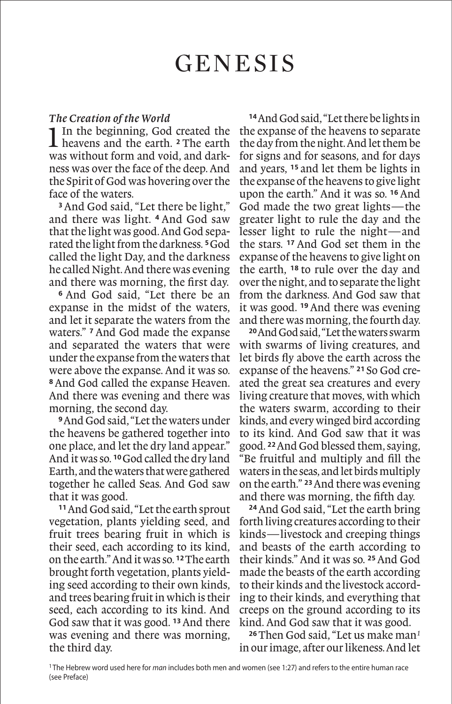#### *The Creation of the World*

1In the beginning, God created the heavens and the earth. **<sup>2</sup>** The earth was without form and void, and darkness was over the face of the deep. And the Spirit of God was hovering over the face of the waters.

**<sup>3</sup>**And God said, "Let there be light," and there was light. **<sup>4</sup>** And God saw that the light was good. And God separated the light from the darkness. **<sup>5</sup>**God called the light Day, and the darkness he called Night. And there was evening and there was morning, the first day.

**<sup>6</sup>** And God said, "Let there be an expanse in the midst of the waters, and let it separate the waters from the waters." **<sup>7</sup>**And God made the expanse and separated the waters that were under the expanse from the waters that were above the expanse. And it was so. **<sup>8</sup>**And God called the expanse Heaven. And there was evening and there was morning, the second day.

**<sup>9</sup>**And God said, "Let the waters under the heavens be gathered together into one place, and let the dry land appear." And it was so. **<sup>10</sup>**God called the dry land Earth, and the waters that were gathered together he called Seas. And God saw that it was good.

**<sup>11</sup>**And God said, "Let the earth sprout vegetation, plants yielding seed, and fruit trees bearing fruit in which is their seed, each according to its kind, on the earth." And it was so. **<sup>12</sup>**The earth brought forth vegetation, plants yielding seed according to their own kinds, and trees bearing fruit in which is their seed, each according to its kind. And God saw that it was good. **<sup>13</sup>**And there was evening and there was morning, the third day.

**<sup>14</sup>**And God said, "Let there be lights in the expanse of the heavens to separate the day from the night. And let them be for signs and for seasons, and for days and years, **<sup>15</sup>** and let them be lights in the expanse of the heavens to give light upon the earth." And it was so. **<sup>16</sup>**And God made the two great lights—the greater light to rule the day and the lesser light to rule the night—and the stars. **<sup>17</sup>** And God set them in the expanse of the heavens to give light on the earth, **<sup>18</sup>** to rule over the day and over the night, and to separate the light from the darkness. And God saw that it was good. **<sup>19</sup>**And there was evening and there was morning, the fourth day.

**<sup>20</sup>**And God said, "Let the waters swarm with swarms of living creatures, and let birds fly above the earth across the expanse of the heavens." **<sup>21</sup>** So God created the great sea creatures and every living creature that moves, with which the waters swarm, according to their kinds, and every winged bird according to its kind. And God saw that it was good. **<sup>22</sup>**And God blessed them, saying, "Be fruitful and multiply and fill the waters in the seas, and let birds multiply on the earth." **<sup>23</sup>**And there was evening and there was morning, the fifth day.

**<sup>24</sup>**And God said, "Let the earth bring forth living creatures according to their kinds—livestock and creeping things and beasts of the earth according to their kinds." And it was so. **<sup>25</sup>**And God made the beasts of the earth according to their kinds and the livestock according to their kinds, and everything that creeps on the ground according to its kind. And God saw that it was good.

**<sup>26</sup>**Then God said, "Let us make man*<sup>1</sup>* in our image, after our likeness. And let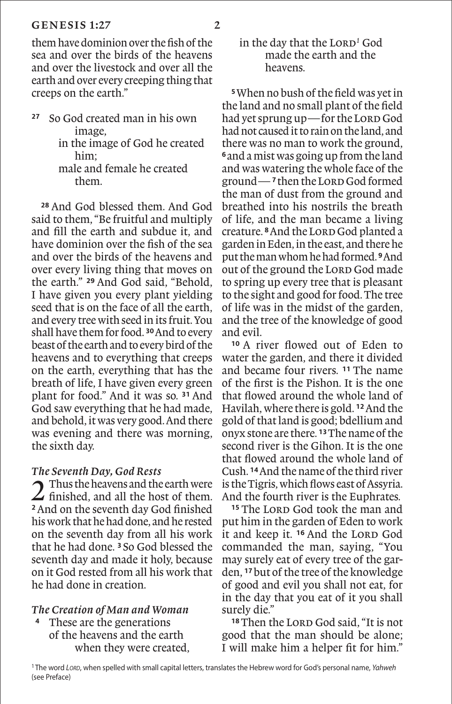them have dominion over the fish of the sea and over the birds of the heavens and over the livestock and over all the earth and over every creeping thing that creeps on the earth."

**<sup>27</sup>** So God created man in his own image, in the image of God he created him; male and female he created them.

**<sup>28</sup>** And God blessed them. And God said to them, "Be fruitful and multiply and fill the earth and subdue it, and have dominion over the fish of the sea and over the birds of the heavens and over every living thing that moves on the earth." **<sup>29</sup>** And God said, "Behold, I have given you every plant yielding seed that is on the face of all the earth, and every tree with seed in its fruit. You shall have them for food. **<sup>30</sup>**And to every beast of the earth and to every bird of the heavens and to everything that creeps on the earth, everything that has the breath of life, I have given every green plant for food." And it was so. **<sup>31</sup>** And God saw everything that he had made, and behold, it was very good. And there was evening and there was morning, the sixth day.

## *The Seventh Day, God Rests*

Thus the heavens and the earth were finished, and all the host of them. **<sup>2</sup>**And on the seventh day God finished his work that he had done, and he rested on the seventh day from all his work that he had done. **<sup>3</sup>** So God blessed the seventh day and made it holy, because on it God rested from all his work that he had done in creation.

# *The Creation of Man and Woman*

**<sup>4</sup>** These are the generations of the heavens and the earth when they were created,

## in the day that the LORD<sup>1</sup> God made the earth and the heavens.

**<sup>5</sup>**When no bush of the field was yet in the land and no small plant of the field had yet sprung up—for the LORD God had not caused it to rain on the land, and there was no man to work the ground, **<sup>6</sup>**and a mist was going up from the land and was watering the whole face of the ground— **<sup>7</sup>**then the Lord God formed the man of dust from the ground and breathed into his nostrils the breath of life, and the man became a living creature. **<sup>8</sup>**And the Lord God planted a garden in Eden, in the east, and there he put the man whom he had formed. **<sup>9</sup>**And out of the ground the LORD God made to spring up every tree that is pleasant to the sight and good for food. The tree of life was in the midst of the garden, and the tree of the knowledge of good and evil.

**<sup>10</sup>** A river flowed out of Eden to water the garden, and there it divided and became four rivers. **<sup>11</sup>** The name of the first is the Pishon. It is the one that flowed around the whole land of Havilah, where there is gold. **<sup>12</sup>**And the gold of that land is good; bdellium and onyx stone are there. **<sup>13</sup>**The name of the second river is the Gihon. It is the one that flowed around the whole land of Cush. **<sup>14</sup>**And the name of the third river is the Tigris, which flows east of Assyria. And the fourth river is the Euphrates.

<sup>15</sup> The LORD God took the man and put him in the garden of Eden to work it and keep it. <sup>16</sup> And the LORD God commanded the man, saying, "You may surely eat of every tree of the garden, **<sup>17</sup>**but of the tree of the knowledge of good and evil you shall not eat, for in the day that you eat of it you shall surely die."

<sup>18</sup> Then the LORD God said, "It is not good that the man should be alone; I will make him a helper fit for him."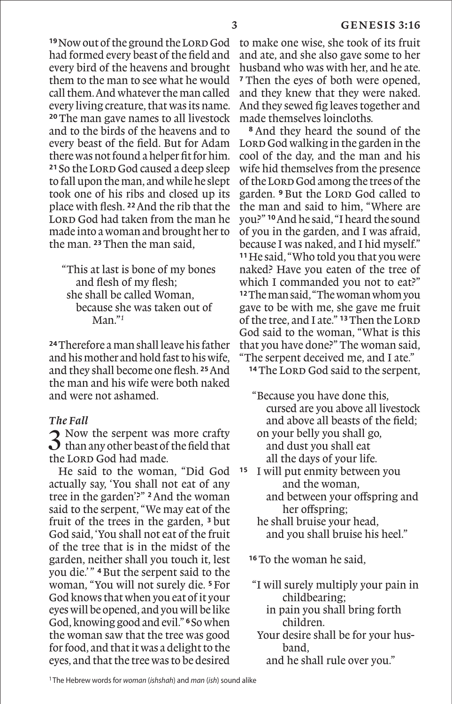<sup>19</sup>Now out of the ground the Lord God had formed every beast of the field and every bird of the heavens and brought them to the man to see what he would call them. And whatever the man called every living creature, that was its name. **<sup>20</sup>**The man gave names to all livestock and to the birds of the heavens and to every beast of the field. But for Adam there was not found a helper fit for him. <sup>21</sup> So the LORD God caused a deep sleep to fall upon the man, and while he slept took one of his ribs and closed up its place with flesh. **<sup>22</sup>**And the rib that the LORD God had taken from the man he made into a woman and brought her to the man. **<sup>23</sup>**Then the man said,

"This at last is bone of my bones and flesh of my flesh; she shall be called Woman, because she was taken out of Man."*<sup>1</sup>*

**<sup>24</sup>**Therefore a man shall leave his father and his mother and hold fast to his wife, and they shall become one flesh. **<sup>25</sup>**And the man and his wife were both naked and were not ashamed.

#### *The Fall*

3 Now the serpent was more crafty than any other beast of the field that the LORD God had made.

He said to the woman, "Did God actually say, 'You shall not eat of any tree in the garden'?" **<sup>2</sup>**And the woman said to the serpent, "We may eat of the fruit of the trees in the garden, **<sup>3</sup>** but God said, 'You shall not eat of the fruit of the tree that is in the midst of the garden, neither shall you touch it, lest you die.' " **<sup>4</sup>**But the serpent said to the woman, "You will not surely die. **<sup>5</sup>**For God knows that when you eat of it your eyes will be opened, and you will be like God, knowing good and evil." **<sup>6</sup>**So when the woman saw that the tree was good for food, and that it was a delight to the eyes, and that the tree was to be desired

to make one wise, she took of its fruit and ate, and she also gave some to her husband who was with her, and he ate. **<sup>7</sup>** Then the eyes of both were opened, and they knew that they were naked. And they sewed fig leaves together and made themselves loincloths.

**<sup>8</sup>** And they heard the sound of the LORD God walking in the garden in the cool of the day, and the man and his wife hid themselves from the presence of the Lorp God among the trees of the garden. <sup>9</sup> But the LORD God called to the man and said to him, "Where are you?" **<sup>10</sup>**And he said, "I heard the sound of you in the garden, and I was afraid, because I was naked, and I hid myself." **<sup>11</sup>**He said, "Who told you that you were naked? Have you eaten of the tree of which I commanded you not to eat?" **<sup>12</sup>**The man said, "The woman whom you gave to be with me, she gave me fruit of the tree, and I ate." <sup>13</sup> Then the LORD God said to the woman, "What is this that you have done?" The woman said, "The serpent deceived me, and I ate."

<sup>14</sup>The LORD God said to the serpent,

"Because you have done this, cursed are you above all livestock and above all beasts of the field; on your belly you shall go, and dust you shall eat all the days of your life.

- **<sup>15</sup>** I will put enmity between you and the woman,
	- and between your offspring and her offspring;

 he shall bruise your head, and you shall bruise his heel."

**<sup>16</sup>**To the woman he said,

"I will surely multiply your pain in childbearing;

 in pain you shall bring forth children.

- Your desire shall be for your husband,
	- and he shall rule over you."

<sup>1</sup> The Hebrew words for *woman* (*ishshah*) and *man* (*ish*) sound alike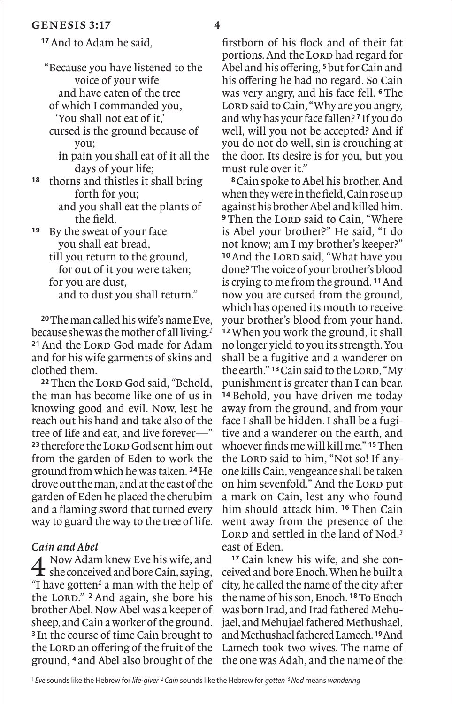**<sup>17</sup>**And to Adam he said,

"Because you have listened to the voice of your wife and have eaten of the tree of which I commanded you, 'You shall not eat of it,' cursed is the ground because of you; in pain you shall eat of it all the days of your life; **<sup>18</sup>** thorns and thistles it shall bring forth for you; and you shall eat the plants of the field. **<sup>19</sup>** By the sweat of your face you shall eat bread, till you return to the ground, for out of it you were taken; for you are dust,

and to dust you shall return."

**<sup>20</sup>**The man called his wife's name Eve, because she was the mother of all living.*<sup>1</sup>* <sup>21</sup> And the LORD God made for Adam and for his wife garments of skins and clothed them.

<sup>22</sup> Then the LORD God said, "Behold, the man has become like one of us in knowing good and evil. Now, lest he reach out his hand and take also of the tree of life and eat, and live forever—" 23 therefore the LORD God sent him out from the garden of Eden to work the ground from which he was taken. **<sup>24</sup>**He drove out the man, and at the east of the garden of Eden he placed the cherubim and a flaming sword that turned every way to guard the way to the tree of life.

#### *Cain and Abel*

4 Now Adam knew Eve his wife, and  $\mathbf t$  she conceived and bore Cain, saying, "I have gotten*<sup>2</sup>* a man with the help of the Lord." **<sup>2</sup>** And again, she bore his brother Abel. Now Abel was a keeper of sheep, and Cain a worker of the ground. **<sup>3</sup>** In the course of time Cain brought to the LORD an offering of the fruit of the ground, **<sup>4</sup>** and Abel also brought of the firstborn of his flock and of their fat portions. And the LORD had regard for Abel and his offering, **<sup>5</sup>**but for Cain and his offering he had no regard. So Cain was very angry, and his face fell. **<sup>6</sup>**The LORD said to Cain, "Why are you angry, and why has your face fallen? **<sup>7</sup>**If you do well, will you not be accepted? And if you do not do well, sin is crouching at the door. Its desire is for you, but you must rule over it."

**<sup>8</sup>**Cain spoke to Abel his brother. And when they were in the field, Cain rose up against his brother Abel and killed him. **9**Then the LORD said to Cain, "Where is Abel your brother?" He said, "I do not know; am I my brother's keeper?" <sup>10</sup> And the LORD said, "What have you done? The voice of your brother's blood is crying to me from the ground. **<sup>11</sup>**And now you are cursed from the ground, which has opened its mouth to receive your brother's blood from your hand. **<sup>12</sup>**When you work the ground, it shall no longer yield to you its strength. You shall be a fugitive and a wanderer on the earth." <sup>13</sup> Cain said to the LORD, "My punishment is greater than I can bear. **<sup>14</sup>** Behold, you have driven me today away from the ground, and from your face I shall be hidden. I shall be a fugitive and a wanderer on the earth, and whoever finds me will kill me." **<sup>15</sup>**Then the LORD said to him, "Not so! If anyone kills Cain, vengeance shall be taken on him sevenfold." And the LORD put a mark on Cain, lest any who found him should attack him. **<sup>16</sup>** Then Cain went away from the presence of the LORD and settled in the land of Nod,<sup>3</sup> east of Eden.

**<sup>17</sup>** Cain knew his wife, and she conceived and bore Enoch. When he built a city, he called the name of the city after the name of his son, Enoch. **<sup>18</sup>**To Enoch was born Irad, and Irad fathered Mehujael, and Mehujael fathered Methushael, and Methushael fathered Lamech. **<sup>19</sup>**And Lamech took two wives. The name of the one was Adah, and the name of the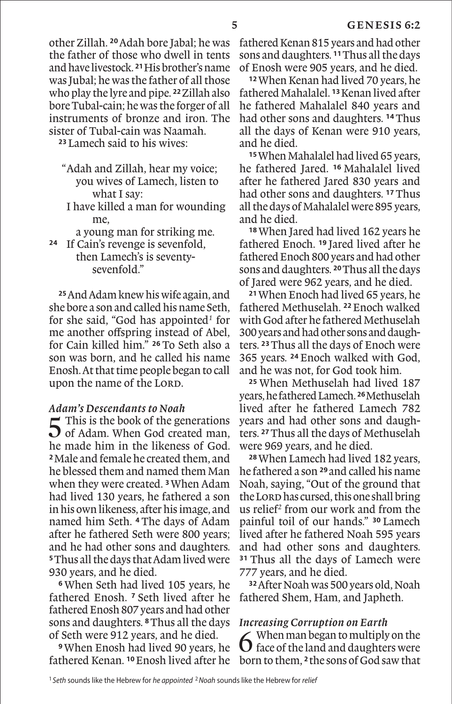other Zillah. **<sup>20</sup>**Adah bore Jabal; he was the father of those who dwell in tents and have livestock. **<sup>21</sup>**His brother's name was Jubal; he was the father of all those who play the lyre and pipe. **<sup>22</sup>**Zillah also bore Tubal-cain; he was the forger of all instruments of bronze and iron. The sister of Tubal-cain was Naamah.

**<sup>23</sup>** Lamech said to his wives:

- "Adah and Zillah, hear my voice; you wives of Lamech, listen to what I say:
- I have killed a man for wounding me,
- a young man for striking me.
- **<sup>24</sup>** If Cain's revenge is sevenfold, then Lamech's is seventy-sevenfold."

**<sup>25</sup>**And Adam knew his wife again, and she bore a son and called his name Seth, for she said, "God has appointed*<sup>1</sup>* for me another offspring instead of Abel, for Cain killed him." **<sup>26</sup>** To Seth also a son was born, and he called his name Enosh. At that time people began to call upon the name of the LORD.

## *Adam's Descendants to Noah*

 $\Gamma$  This is the book of the generations  $\Omega$  of Adam. When God created man, he made him in the likeness of God. **<sup>2</sup>**Male and female he created them, and he blessed them and named them Man when they were created. **<sup>3</sup>**When Adam had lived 130 years, he fathered a son in his own likeness, after his image, and named him Seth. **<sup>4</sup>** The days of Adam after he fathered Seth were 800 years; and he had other sons and daughters. **<sup>5</sup>**Thus all the days that Adam lived were 930 years, and he died.

**<sup>6</sup>**When Seth had lived 105 years, he fathered Enosh. **<sup>7</sup>** Seth lived after he fathered Enosh 807 years and had other sons and daughters. **<sup>8</sup>**Thus all the days of Seth were 912 years, and he died.

**<sup>9</sup>**When Enosh had lived 90 years, he fathered Kenan. **<sup>10</sup>**Enosh lived after he

fathered Kenan 815 years and had other sons and daughters. **<sup>11</sup>**Thus all the days of Enosh were 905 years, and he died.

**<sup>12</sup>**When Kenan had lived 70 years, he fathered Mahalalel. **<sup>13</sup>**Kenan lived after he fathered Mahalalel 840 years and had other sons and daughters. **<sup>14</sup>**Thus all the days of Kenan were 910 years, and he died.

**<sup>15</sup>**When Mahalalel had lived 65 years, he fathered Jared. **<sup>16</sup>** Mahalalel lived after he fathered Jared 830 years and had other sons and daughters. **<sup>17</sup>**Thus all the days of Mahalalel were 895 years, and he died.

**<sup>18</sup>**When Jared had lived 162 years he fathered Enoch. **<sup>19</sup>** Jared lived after he fathered Enoch 800 years and had other sons and daughters. **<sup>20</sup>**Thus all the days of Jared were 962 years, and he died.

**<sup>21</sup>**When Enoch had lived 65 years, he fathered Methuselah. **<sup>22</sup>**Enoch walked with God after he fathered Methuselah 300 years and had other sons and daughters. **<sup>23</sup>**Thus all the days of Enoch were 365 years. **<sup>24</sup>** Enoch walked with God, and he was not, for God took him.

**<sup>25</sup>** When Methuselah had lived 187 years, he fathered Lamech. **<sup>26</sup>**Methuselah lived after he fathered Lamech 782 years and had other sons and daughters. **<sup>27</sup>**Thus all the days of Methuselah were 969 years, and he died.

**<sup>28</sup>**When Lamech had lived 182 years, he fathered a son **<sup>29</sup>**and called his name Noah, saying, "Out of the ground that the Lorp has cursed, this one shall bring us relief*<sup>2</sup>* from our work and from the painful toil of our hands." **<sup>30</sup>** Lamech lived after he fathered Noah 595 years and had other sons and daughters. **<sup>31</sup>** Thus all the days of Lamech were 777 years, and he died.

**<sup>32</sup>**After Noah was 500 years old, Noah fathered Shem, Ham, and Japheth.

## *Increasing Corruption on Earth*

6 When man began to multiply on the face of the land and daughters were born to them, **2**the sons of God saw that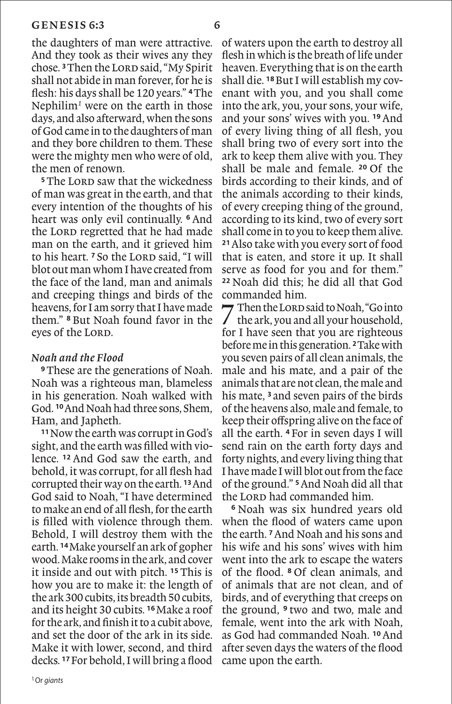the daughters of man were attractive. And they took as their wives any they chose.<sup>3</sup> Then the Lord said, "My Spirit shall not abide in man forever, for he is flesh: his days shall be 120 years." **<sup>4</sup>**The Nephilim*<sup>1</sup>* were on the earth in those days, and also afterward, when the sons of God came in to the daughters of man and they bore children to them. These were the mighty men who were of old, the men of renown.

<sup>5</sup>The LORD saw that the wickedness of man was great in the earth, and that every intention of the thoughts of his heart was only evil continually. **<sup>6</sup>** And the LORD regretted that he had made man on the earth, and it grieved him to his heart.<sup>7</sup> So the LORD said. "I will blot out man whom I have created from the face of the land, man and animals and creeping things and birds of the heavens, for I am sorry that I have made them." **<sup>8</sup>** But Noah found favor in the eves of the LORD.

#### *Noah and the Flood*

**<sup>9</sup>**These are the generations of Noah. Noah was a righteous man, blameless in his generation. Noah walked with God. **<sup>10</sup>**And Noah had three sons, Shem, Ham, and Japheth.

**<sup>11</sup>**Now the earth was corrupt in God's sight, and the earth was filled with violence. **<sup>12</sup>** And God saw the earth, and behold, it was corrupt, for all flesh had corrupted their way on the earth. **<sup>13</sup>**And God said to Noah, "I have determined to make an end of all flesh, for the earth is filled with violence through them. Behold, I will destroy them with the earth. **<sup>14</sup>**Make yourself an ark of gopher wood. Make rooms in the ark, and cover it inside and out with pitch. **<sup>15</sup>**This is how you are to make it: the length of the ark 300 cubits, its breadth 50 cubits, and its height 30 cubits. **<sup>16</sup>**Make a roof for the ark, and finish it to a cubit above, and set the door of the ark in its side. Make it with lower, second, and third decks. **<sup>17</sup>**For behold, I will bring a flood of waters upon the earth to destroy all flesh in which is the breath of life under heaven. Everything that is on the earth shall die. **18**But I will establish my covenant with you, and you shall come into the ark, you, your sons, your wife, and your sons' wives with you. **<sup>19</sup>**And of every living thing of all flesh, you shall bring two of every sort into the ark to keep them alive with you. They shall be male and female. **<sup>20</sup>** Of the birds according to their kinds, and of the animals according to their kinds, of every creeping thing of the ground, according to its kind, two of every sort shall come in to you to keep them alive. **<sup>21</sup>**Also take with you every sort of food that is eaten, and store it up. It shall serve as food for you and for them." **<sup>22</sup>** Noah did this; he did all that God commanded him.

7 Then the Lord said to Noah, "Go into the ark, you and all your household, for I have seen that you are righteous before me in this generation. **<sup>2</sup>**Take with you seven pairs of all clean animals, the male and his mate, and a pair of the animals that are not clean, the male and his mate, **<sup>3</sup>** and seven pairs of the birds of the heavens also, male and female, to keep their offspring alive on the face of all the earth. **<sup>4</sup>** For in seven days I will send rain on the earth forty days and forty nights, and every living thing that I have made I will blot out from the face of the ground." **<sup>5</sup>**And Noah did all that the Lorp had commanded him.

**<sup>6</sup>** Noah was six hundred years old when the flood of waters came upon the earth. **<sup>7</sup>**And Noah and his sons and his wife and his sons' wives with him went into the ark to escape the waters of the flood. **<sup>8</sup>** Of clean animals, and of animals that are not clean, and of birds, and of everything that creeps on the ground, **<sup>9</sup>** two and two, male and female, went into the ark with Noah, as God had commanded Noah. **<sup>10</sup>**And after seven days the waters of the flood came upon the earth.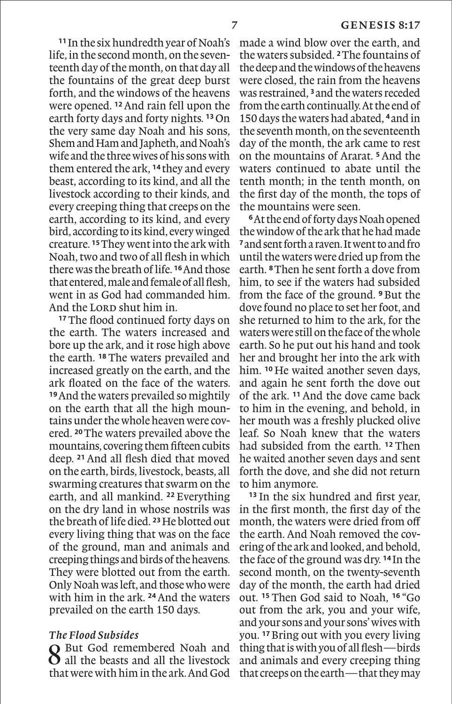**<sup>11</sup>**In the six hundredth year of Noah's life, in the second month, on the seventeenth day of the month, on that day all the fountains of the great deep burst forth, and the windows of the heavens were opened. **<sup>12</sup>**And rain fell upon the earth forty days and forty nights. **<sup>13</sup>**On the very same day Noah and his sons, Shem and Ham and Japheth, and Noah's wife and the three wives of his sons with them entered the ark, **<sup>14</sup>** they and every beast, according to its kind, and all the livestock according to their kinds, and every creeping thing that creeps on the earth, according to its kind, and every bird, according to its kind, every winged creature. **<sup>15</sup>**They went into the ark with Noah, two and two of all flesh in which there was the breath of life. **<sup>16</sup>**And those that entered, male and female of all flesh, went in as God had commanded him. And the LORD shut him in.

**<sup>17</sup>**The flood continued forty days on the earth. The waters increased and bore up the ark, and it rose high above the earth. **<sup>18</sup>**The waters prevailed and increased greatly on the earth, and the ark floated on the face of the waters. **<sup>19</sup>**And the waters prevailed so mightily on the earth that all the high mountains under the whole heaven were covered. **<sup>20</sup>**The waters prevailed above the mountains, covering them fifteen cubits deep. **<sup>21</sup>**And all flesh died that moved on the earth, birds, livestock, beasts, all swarming creatures that swarm on the earth, and all mankind. **<sup>22</sup>** Everything on the dry land in whose nostrils was the breath of life died. **<sup>23</sup>**He blotted out every living thing that was on the face of the ground, man and animals and creeping things and birds of the heavens. They were blotted out from the earth. Only Noah was left, and those who were with him in the ark. **<sup>24</sup>**And the waters prevailed on the earth 150 days.

#### *The Flood Subsides*

◯ But God remembered Noah and  $\Omega$  all the beasts and all the livestock that were with him in the ark. And God made a wind blow over the earth, and the waters subsided. **<sup>2</sup>**The fountains of the deep and the windows of the heavens were closed, the rain from the heavens was restrained, **<sup>3</sup>**and the waters receded from the earth continually. At the end of 150 days the waters had abated, **<sup>4</sup>**and in the seventh month, on the seventeenth day of the month, the ark came to rest on the mountains of Ararat. **<sup>5</sup>**And the waters continued to abate until the tenth month; in the tenth month, on the first day of the month, the tops of the mountains were seen.

**<sup>6</sup>**At the end of forty days Noah opened the window of the ark that he had made **<sup>7</sup>**and sent forth a raven. It went to and fro until the waters were dried up from the earth. **<sup>8</sup>**Then he sent forth a dove from him, to see if the waters had subsided from the face of the ground. **<sup>9</sup>**But the dove found no place to set her foot, and she returned to him to the ark, for the waters were still on the face of the whole earth. So he put out his hand and took her and brought her into the ark with him. **<sup>10</sup>** He waited another seven days, and again he sent forth the dove out of the ark. **<sup>11</sup>**And the dove came back to him in the evening, and behold, in her mouth was a freshly plucked olive leaf. So Noah knew that the waters had subsided from the earth. **<sup>12</sup>** Then he waited another seven days and sent forth the dove, and she did not return to him anymore.

**<sup>13</sup>** In the six hundred and first year, in the first month, the first day of the month, the waters were dried from off the earth. And Noah removed the covering of the ark and looked, and behold, the face of the ground was dry. **<sup>14</sup>** In the second month, on the twenty-seventh day of the month, the earth had dried out. **<sup>15</sup>** Then God said to Noah, **<sup>16</sup>** "Go out from the ark, you and your wife, and your sons and your sons' wives with you. **<sup>17</sup>**Bring out with you every living thing that is with you of all flesh—birds and animals and every creeping thing that creeps on the earth—that they may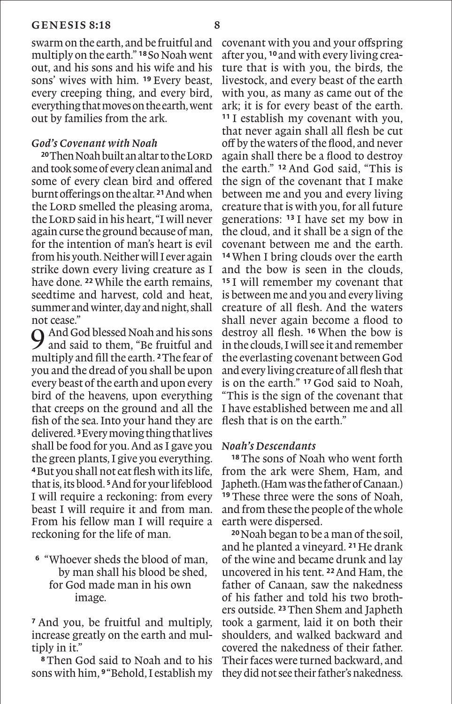swarm on the earth, and be fruitful and multiply on the earth." **<sup>18</sup>**So Noah went out, and his sons and his wife and his sons' wives with him. **<sup>19</sup>** Every beast, every creeping thing, and every bird, everything that moves on the earth, went out by families from the ark.

#### *God's Covenant with Noah*

<sup>20</sup>Then Noah built an altar to the LORD and took some of every clean animal and some of every clean bird and offered burnt offerings on the altar. **<sup>21</sup>**And when the Lord smelled the pleasing aroma, the Lord said in his heart, "I will never again curse the ground because of man, for the intention of man's heart is evil from his youth. Neither will I ever again strike down every living creature as I have done. **<sup>22</sup>**While the earth remains, seedtime and harvest, cold and heat, summer and winter, day and night, shall not cease."

 $\bigcap$  And God blessed Noah and his sons and said to them, "Be fruitful and multiply and fill the earth. **<sup>2</sup>**The fear of you and the dread of you shall be upon every beast of the earth and upon every bird of the heavens, upon everything that creeps on the ground and all the fish of the sea. Into your hand they are delivered. **<sup>3</sup>**Every moving thing that lives shall be food for you. And as I gave you the green plants, I give you everything. **<sup>4</sup>**But you shall not eat flesh with its life, that is, its blood. **<sup>5</sup>**And for your lifeblood I will require a reckoning: from every beast I will require it and from man. From his fellow man I will require a reckoning for the life of man.

### **<sup>6</sup>** "Whoever sheds the blood of man, by man shall his blood be shed, for God made man in his own image.

**<sup>7</sup>** And you, be fruitful and multiply, increase greatly on the earth and multiply in it."

**<sup>8</sup>**Then God said to Noah and to his sons with him, **<sup>9</sup>**"Behold, I establish my covenant with you and your offspring after you, **<sup>10</sup>** and with every living creature that is with you, the birds, the livestock, and every beast of the earth with you, as many as came out of the ark; it is for every beast of the earth. **<sup>11</sup>** I establish my covenant with you, that never again shall all flesh be cut off by the waters of the flood, and never again shall there be a flood to destroy the earth." **<sup>12</sup>** And God said, "This is the sign of the covenant that I make between me and you and every living creature that is with you, for all future generations: **<sup>13</sup>** I have set my bow in the cloud, and it shall be a sign of the covenant between me and the earth. **<sup>14</sup>**When I bring clouds over the earth and the bow is seen in the clouds, **<sup>15</sup>** I will remember my covenant that is between me and you and every living creature of all flesh. And the waters shall never again become a flood to destroy all flesh. **<sup>16</sup>** When the bow is in the clouds, I will see it and remember the everlasting covenant between God and every living creature of all flesh that is on the earth." **<sup>17</sup>** God said to Noah, "This is the sign of the covenant that I have established between me and all flesh that is on the earth."

#### *Noah's Descendants*

**<sup>18</sup>**The sons of Noah who went forth from the ark were Shem, Ham, and Japheth. (Ham was the father of Canaan.) **<sup>19</sup>** These three were the sons of Noah, and from these the people of the whole earth were dispersed.

**<sup>20</sup>**Noah began to be a man of the soil, and he planted a vineyard. **<sup>21</sup>**He drank of the wine and became drunk and lay uncovered in his tent. **<sup>22</sup>**And Ham, the father of Canaan, saw the nakedness of his father and told his two brothers outside. **<sup>23</sup>**Then Shem and Japheth took a garment, laid it on both their shoulders, and walked backward and covered the nakedness of their father. Their faces were turned backward, and they did not see their father's nakedness.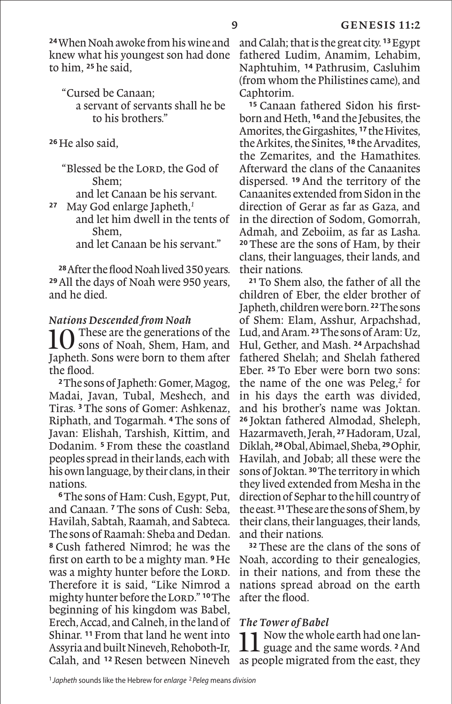**<sup>24</sup>**When Noah awoke from his wine and knew what his youngest son had done to him, **<sup>25</sup>**he said,

"Cursed be Canaan; a servant of servants shall he be to his brothers."

**<sup>26</sup>**He also said,

"Blessed be the LORD, the God of Shem;

and let Canaan be his servant.

**<sup>27</sup>** May God enlarge Japheth,*<sup>1</sup>*

 and let him dwell in the tents of Shem,

and let Canaan be his servant."

**28**After the flood Noah lived 350 years. **<sup>29</sup>**All the days of Noah were 950 years, and he died.

#### *Nations Descended from Noah*

These are the generations of the sons of Noah, Shem, Ham, and Japheth. Sons were born to them after the flood.

**<sup>2</sup>**The sons of Japheth: Gomer, Magog, Madai, Javan, Tubal, Meshech, and Tiras. **<sup>3</sup>**The sons of Gomer: Ashkenaz, Riphath, and Togarmah. **<sup>4</sup>**The sons of Javan: Elishah, Tarshish, Kittim, and Dodanim. **<sup>5</sup>** From these the coastland peoples spread in their lands, each with his own language, by their clans, in their nations.

**<sup>6</sup>**The sons of Ham: Cush, Egypt, Put, and Canaan. **<sup>7</sup>**The sons of Cush: Seba, Havilah, Sabtah, Raamah, and Sabteca. The sons of Raamah: Sheba and Dedan. **<sup>8</sup>** Cush fathered Nimrod; he was the first on earth to be a mighty man. **<sup>9</sup>**He was a mighty hunter before the LORD. Therefore it is said, "Like Nimrod a mighty hunter before the Lorp." <sup>10</sup>The beginning of his kingdom was Babel, Erech, Accad, and Calneh, in the land of Shinar. **<sup>11</sup>**From that land he went into Assyria and built Nineveh, Rehoboth-Ir,

and Calah; that is the great city. **<sup>13</sup>**Egypt fathered Ludim, Anamim, Lehabim, Naphtuhim, **<sup>14</sup>** Pathrusim, Casluhim (from whom the Philistines came), and Caphtorim.

**<sup>15</sup>** Canaan fathered Sidon his firstborn and Heth, **<sup>16</sup>** and the Jebusites, the Amorites, the Girgashites, **<sup>17</sup>**the Hivites, the Arkites, the Sinites, **<sup>18</sup>** the Arvadites, the Zemarites, and the Hamathites. Afterward the clans of the Canaanites dispersed. **<sup>19</sup>** And the territory of the Canaanites extended from Sidon in the direction of Gerar as far as Gaza, and in the direction of Sodom, Gomorrah, Admah, and Zeboiim, as far as Lasha. **<sup>20</sup>**These are the sons of Ham, by their clans, their languages, their lands, and their nations.

**<sup>21</sup>**To Shem also, the father of all the children of Eber, the elder brother of Japheth, children were born. **<sup>22</sup>**The sons of Shem: Elam, Asshur, Arpachshad, Lud, and Aram. **<sup>23</sup>**The sons of Aram: Uz, Hul, Gether, and Mash. **<sup>24</sup>**Arpachshad fathered Shelah; and Shelah fathered Eber. **<sup>25</sup>** To Eber were born two sons: the name of the one was Peleg,*<sup>2</sup>* for in his days the earth was divided, and his brother's name was Joktan. **<sup>26</sup>** Joktan fathered Almodad, Sheleph, Hazarmaveth, Jerah, **<sup>27</sup>**Hadoram, Uzal, Diklah, **<sup>28</sup>**Obal, Abimael, Sheba, **<sup>29</sup>**Ophir, Havilah, and Jobab; all these were the sons of Joktan. **<sup>30</sup>**The territory in which they lived extended from Mesha in the direction of Sephar to the hill country of the east. **<sup>31</sup>**These are the sons of Shem, by their clans, their languages, their lands, and their nations.

**<sup>32</sup>** These are the clans of the sons of Noah, according to their genealogies, in their nations, and from these the nations spread abroad on the earth after the flood.

#### *The Tower of Babel*

Calah, and **<sup>12</sup>** Resen between Nineveh as people migrated from the east, they 1 Now the whole earth had one language and the same words. **<sup>2</sup>**And